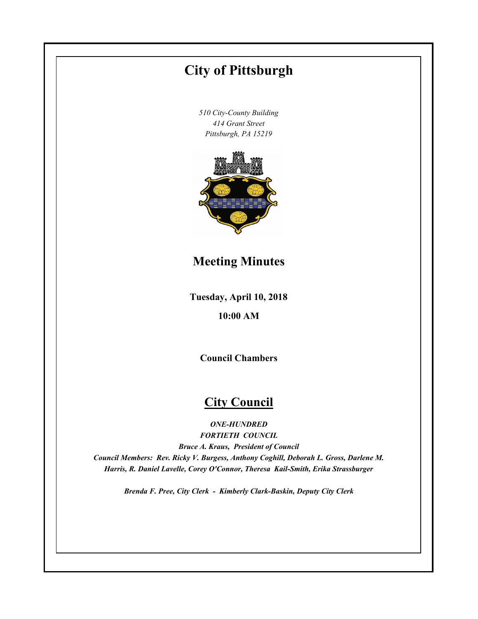# **City of Pittsburgh**

*510 City-County Building 414 Grant Street Pittsburgh, PA 15219*



**Meeting Minutes**

**Tuesday, April 10, 2018**

**10:00 AM**

**Council Chambers**

# **City Council**

*ONE-HUNDRED FORTIETH COUNCIL Bruce A. Kraus, President of Council Council Members: Rev. Ricky V. Burgess, Anthony Coghill, Deborah L. Gross, Darlene M. Harris, R. Daniel Lavelle, Corey O'Connor, Theresa Kail-Smith, Erika Strassburger*

*Brenda F. Pree, City Clerk - Kimberly Clark-Baskin, Deputy City Clerk*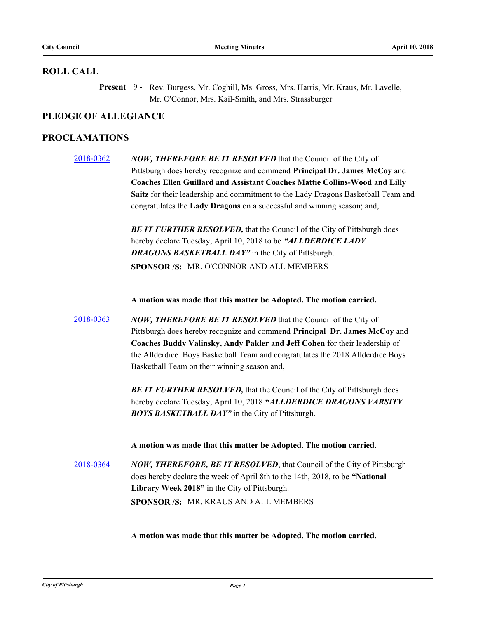#### **ROLL CALL**

Present 9 - Rev. Burgess, Mr. Coghill, Ms. Gross, Mrs. Harris, Mr. Kraus, Mr. Lavelle, Mr. O'Connor, Mrs. Kail-Smith, and Mrs. Strassburger

### **PLEDGE OF ALLEGIANCE**

### **PROCLAMATIONS**

[2018-0362](http://pittsburgh.legistar.com/gateway.aspx?m=l&id=/matter.aspx?key=22673) *NOW, THEREFORE BE IT RESOLVED* that the Council of the City of Pittsburgh does hereby recognize and commend **Principal Dr. James McCoy** and **Coaches Ellen Guillard and Assistant Coaches Mattie Collins-Wood and Lilly Saitz** for their leadership and commitment to the Lady Dragons Basketball Team and congratulates the **Lady Dragons** on a successful and winning season; and,

> **BE IT FURTHER RESOLVED, that the Council of the City of Pittsburgh does** hereby declare Tuesday, April 10, 2018 to be *"ALLDERDICE LADY DRAGONS BASKETBALL DAY"* in the City of Pittsburgh. **SPONSOR /S:** MR. O'CONNOR AND ALL MEMBERS

**A motion was made that this matter be Adopted. The motion carried.**

[2018-0363](http://pittsburgh.legistar.com/gateway.aspx?m=l&id=/matter.aspx?key=22674) *NOW, THEREFORE BE IT RESOLVED* that the Council of the City of Pittsburgh does hereby recognize and commend **Principal Dr. James McCoy** and **Coaches Buddy Valinsky, Andy Pakler and Jeff Cohen** for their leadership of the Allderdice Boys Basketball Team and congratulates the 2018 Allderdice Boys Basketball Team on their winning season and,

> **BE IT FURTHER RESOLVED, that the Council of the City of Pittsburgh does** hereby declare Tuesday, April 10, 2018 **"***ALLDERDICE DRAGONS VARSITY BOYS BASKETBALL DAY"* in the City of Pittsburgh.

**A motion was made that this matter be Adopted. The motion carried.**

[2018-0364](http://pittsburgh.legistar.com/gateway.aspx?m=l&id=/matter.aspx?key=22675) *NOW, THEREFORE, BE IT RESOLVED*, that Council of the City of Pittsburgh does hereby declare the week of April 8th to the 14th, 2018, to be **"National Library Week 2018"** in the City of Pittsburgh. **SPONSOR /S:** MR. KRAUS AND ALL MEMBERS

**A motion was made that this matter be Adopted. The motion carried.**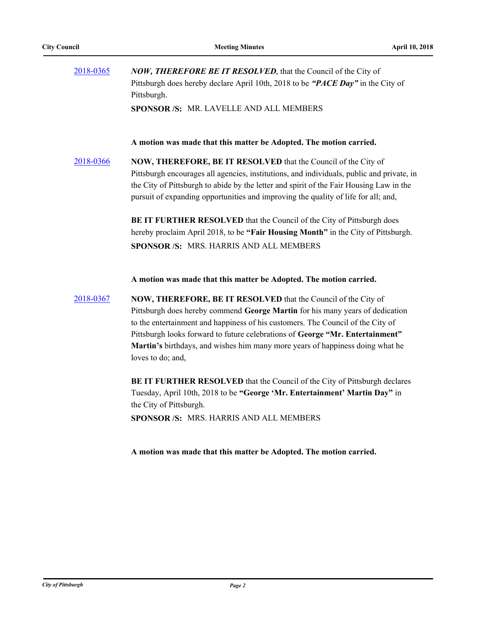| 2018-0365 | <b>NOW, THEREFORE BE IT RESOLVED, that the Council of the City of</b>                                                                                                                                                                                                                                                                                                                                                     |
|-----------|---------------------------------------------------------------------------------------------------------------------------------------------------------------------------------------------------------------------------------------------------------------------------------------------------------------------------------------------------------------------------------------------------------------------------|
|           | Pittsburgh does hereby declare April 10th, 2018 to be "PACE Day" in the City of<br>Pittsburgh.                                                                                                                                                                                                                                                                                                                            |
|           | SPONSOR /S: MR. LAVELLE AND ALL MEMBERS                                                                                                                                                                                                                                                                                                                                                                                   |
|           | A motion was made that this matter be Adopted. The motion carried.                                                                                                                                                                                                                                                                                                                                                        |
| 2018-0366 | NOW, THEREFORE, BE IT RESOLVED that the Council of the City of<br>Pittsburgh encourages all agencies, institutions, and individuals, public and private, in<br>the City of Pittsburgh to abide by the letter and spirit of the Fair Housing Law in the<br>pursuit of expanding opportunities and improving the quality of life for all; and,                                                                              |
|           | BE IT FURTHER RESOLVED that the Council of the City of Pittsburgh does<br>hereby proclaim April 2018, to be "Fair Housing Month" in the City of Pittsburgh.<br>SPONSOR /S: MRS. HARRIS AND ALL MEMBERS                                                                                                                                                                                                                    |
|           | A motion was made that this matter be Adopted. The motion carried.                                                                                                                                                                                                                                                                                                                                                        |
| 2018-0367 | NOW, THEREFORE, BE IT RESOLVED that the Council of the City of<br>Pittsburgh does hereby commend George Martin for his many years of dedication<br>to the entertainment and happiness of his customers. The Council of the City of<br>Pittsburgh looks forward to future celebrations of George "Mr. Entertainment"<br>Martin's birthdays, and wishes him many more years of happiness doing what he<br>loves to do; and, |
|           | BE IT FURTHER RESOLVED that the Council of the City of Pittsburgh declares                                                                                                                                                                                                                                                                                                                                                |
|           | Tuesday, April 10th, 2018 to be "George 'Mr. Entertainment' Martin Day" in<br>the City of Pittsburgh.                                                                                                                                                                                                                                                                                                                     |
|           | SPONSOR /S: MRS. HARRIS AND ALL MEMBERS                                                                                                                                                                                                                                                                                                                                                                                   |

**A motion was made that this matter be Adopted. The motion carried.**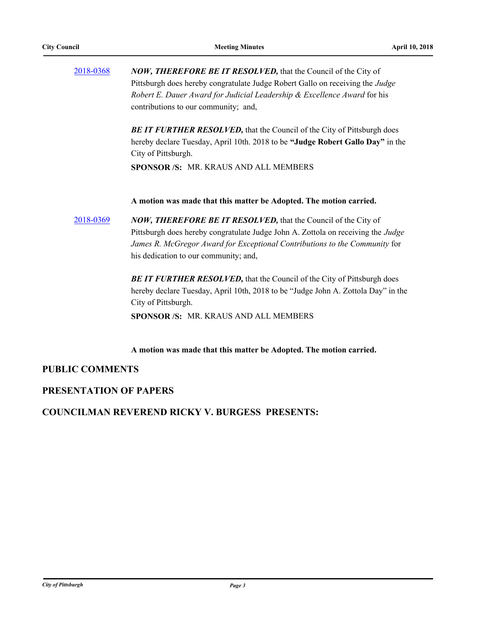| 2018-0368 | NOW, THEREFORE BE IT RESOLVED, that the Council of the City of<br>Pittsburgh does hereby congratulate Judge Robert Gallo on receiving the Judge<br>Robert E. Dauer Award for Judicial Leadership & Excellence Award for his<br>contributions to our community; and, |
|-----------|---------------------------------------------------------------------------------------------------------------------------------------------------------------------------------------------------------------------------------------------------------------------|
|           | <b>BE IT FURTHER RESOLVED, that the Council of the City of Pittsburgh does</b><br>hereby declare Tuesday, April 10th. 2018 to be "Judge Robert Gallo Day" in the<br>City of Pittsburgh.<br><b>SPONSOR /S: MR. KRAUS AND ALL MEMBERS</b>                             |
| 2018-0369 | A motion was made that this matter be Adopted. The motion carried.<br><b>NOW, THEREFORE BE IT RESOLVED, that the Council of the City of</b>                                                                                                                         |
|           | Pittsburgh does hereby congratulate Judge John A. Zottola on receiving the <i>Judge</i><br>James R. McGregor Award for Exceptional Contributions to the Community for<br>his dedication to our community; and,                                                      |
|           | BE IT FURTHER RESOLVED, that the Council of the City of Pittsburgh does<br>hereby declare Tuesday, April 10th, 2018 to be "Judge John A. Zottola Day" in the<br>City of Pittsburgh.<br><b>SPONSOR /S: MR. KRAUS AND ALL MEMBERS</b>                                 |
|           |                                                                                                                                                                                                                                                                     |

**A motion was made that this matter be Adopted. The motion carried.**

### **PUBLIC COMMENTS**

### **PRESENTATION OF PAPERS**

#### **COUNCILMAN REVEREND RICKY V. BURGESS PRESENTS:**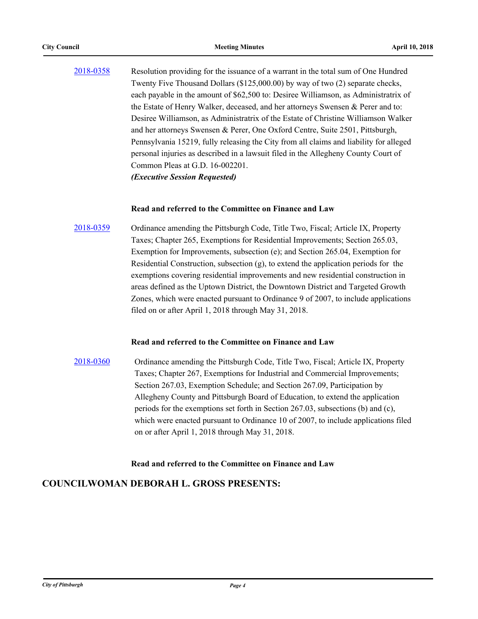[2018-0358](http://pittsburgh.legistar.com/gateway.aspx?m=l&id=/matter.aspx?key=22669) Resolution providing for the issuance of a warrant in the total sum of One Hundred Twenty Five Thousand Dollars (\$125,000.00) by way of two (2) separate checks, each payable in the amount of \$62,500 to: Desiree Williamson, as Administratrix of the Estate of Henry Walker, deceased, and her attorneys Swensen & Perer and to: Desiree Williamson, as Administratrix of the Estate of Christine Williamson Walker and her attorneys Swensen & Perer, One Oxford Centre, Suite 2501, Pittsburgh, Pennsylvania 15219, fully releasing the City from all claims and liability for alleged personal injuries as described in a lawsuit filed in the Allegheny County Court of Common Pleas at G.D. 16-002201. *(Executive Session Requested)*

#### **Read and referred to the Committee on Finance and Law**

[2018-0359](http://pittsburgh.legistar.com/gateway.aspx?m=l&id=/matter.aspx?key=22670) Ordinance amending the Pittsburgh Code, Title Two, Fiscal; Article IX, Property Taxes; Chapter 265, Exemptions for Residential Improvements; Section 265.03, Exemption for Improvements, subsection (e); and Section 265.04, Exemption for Residential Construction, subsection  $(g)$ , to extend the application periods for the exemptions covering residential improvements and new residential construction in areas defined as the Uptown District, the Downtown District and Targeted Growth Zones, which were enacted pursuant to Ordinance 9 of 2007, to include applications filed on or after April 1, 2018 through May 31, 2018.

#### **Read and referred to the Committee on Finance and Law**

[2018-0360](http://pittsburgh.legistar.com/gateway.aspx?m=l&id=/matter.aspx?key=22671) Ordinance amending the Pittsburgh Code, Title Two, Fiscal; Article IX, Property Taxes; Chapter 267, Exemptions for Industrial and Commercial Improvements; Section 267.03, Exemption Schedule; and Section 267.09, Participation by Allegheny County and Pittsburgh Board of Education, to extend the application periods for the exemptions set forth in Section 267.03, subsections (b) and (c), which were enacted pursuant to Ordinance 10 of 2007, to include applications filed on or after April 1, 2018 through May 31, 2018.

#### **Read and referred to the Committee on Finance and Law**

### **COUNCILWOMAN DEBORAH L. GROSS PRESENTS:**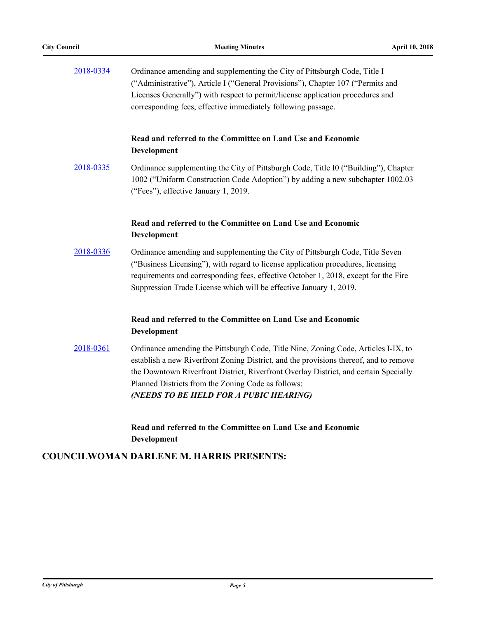| 2018-0334 | Ordinance amending and supplementing the City of Pittsburgh Code, Title I<br>("Administrative"), Article I ("General Provisions"), Chapter 107 ("Permits and<br>Licenses Generally") with respect to permit/license application procedures and<br>corresponding fees, effective immediately following passage.                                                      |
|-----------|---------------------------------------------------------------------------------------------------------------------------------------------------------------------------------------------------------------------------------------------------------------------------------------------------------------------------------------------------------------------|
|           | Read and referred to the Committee on Land Use and Economic<br>Development                                                                                                                                                                                                                                                                                          |
| 2018-0335 | Ordinance supplementing the City of Pittsburgh Code, Title I0 ("Building"), Chapter<br>1002 ("Uniform Construction Code Adoption") by adding a new subchapter 1002.03<br>("Fees"), effective January 1, 2019.                                                                                                                                                       |
|           | Read and referred to the Committee on Land Use and Economic<br>Development                                                                                                                                                                                                                                                                                          |
| 2018-0336 | Ordinance amending and supplementing the City of Pittsburgh Code, Title Seven<br>("Business Licensing"), with regard to license application procedures, licensing<br>requirements and corresponding fees, effective October 1, 2018, except for the Fire<br>Suppression Trade License which will be effective January 1, 2019.                                      |
|           | Read and referred to the Committee on Land Use and Economic<br>Development                                                                                                                                                                                                                                                                                          |
| 2018-0361 | Ordinance amending the Pittsburgh Code, Title Nine, Zoning Code, Articles I-IX, to<br>establish a new Riverfront Zoning District, and the provisions thereof, and to remove<br>the Downtown Riverfront District, Riverfront Overlay District, and certain Specially<br>Planned Districts from the Zoning Code as follows:<br>(NEEDS TO BE HELD FOR A PUBIC HEARING) |
|           | Read and referred to the Committee on Land Use and Economic                                                                                                                                                                                                                                                                                                         |

**Development**

# **COUNCILWOMAN DARLENE M. HARRIS PRESENTS:**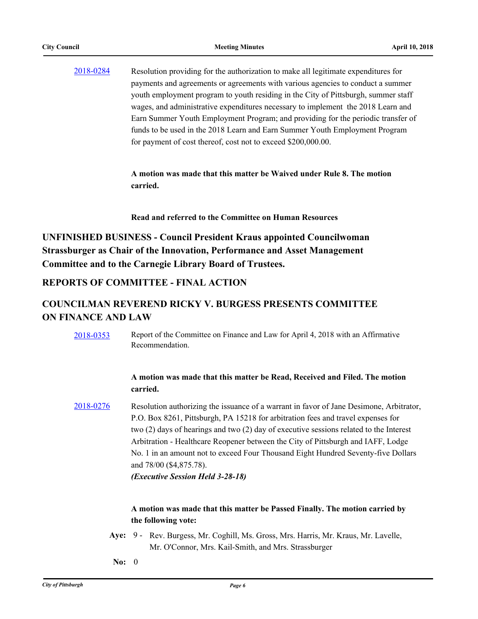### [2018-0284](http://pittsburgh.legistar.com/gateway.aspx?m=l&id=/matter.aspx?key=22594) Resolution providing for the authorization to make all legitimate expenditures for payments and agreements or agreements with various agencies to conduct a summer youth employment program to youth residing in the City of Pittsburgh, summer staff wages, and administrative expenditures necessary to implement the 2018 Learn and Earn Summer Youth Employment Program; and providing for the periodic transfer of funds to be used in the 2018 Learn and Earn Summer Youth Employment Program for payment of cost thereof, cost not to exceed \$200,000.00.

**A motion was made that this matter be Waived under Rule 8. The motion carried.**

#### **Read and referred to the Committee on Human Resources**

**UNFINISHED BUSINESS - Council President Kraus appointed Councilwoman Strassburger as Chair of the Innovation, Performance and Asset Management Committee and to the Carnegie Library Board of Trustees.**

#### **REPORTS OF COMMITTEE - FINAL ACTION**

### **COUNCILMAN REVEREND RICKY V. BURGESS PRESENTS COMMITTEE ON FINANCE AND LAW**

[2018-0353](http://pittsburgh.legistar.com/gateway.aspx?m=l&id=/matter.aspx?key=22664) Report of the Committee on Finance and Law for April 4, 2018 with an Affirmative Recommendation.

#### **A motion was made that this matter be Read, Received and Filed. The motion carried.**

[2018-0276](http://pittsburgh.legistar.com/gateway.aspx?m=l&id=/matter.aspx?key=22586) Resolution authorizing the issuance of a warrant in favor of Jane Desimone, Arbitrator, P.O. Box 8261, Pittsburgh, PA 15218 for arbitration fees and travel expenses for two (2) days of hearings and two (2) day of executive sessions related to the Interest Arbitration - Healthcare Reopener between the City of Pittsburgh and IAFF, Lodge No. 1 in an amount not to exceed Four Thousand Eight Hundred Seventy-five Dollars and 78/00 (\$4,875.78).

*(Executive Session Held 3-28-18)*

- Aye: 9 Rev. Burgess, Mr. Coghill, Ms. Gross, Mrs. Harris, Mr. Kraus, Mr. Lavelle, Mr. O'Connor, Mrs. Kail-Smith, and Mrs. Strassburger
- **No:** 0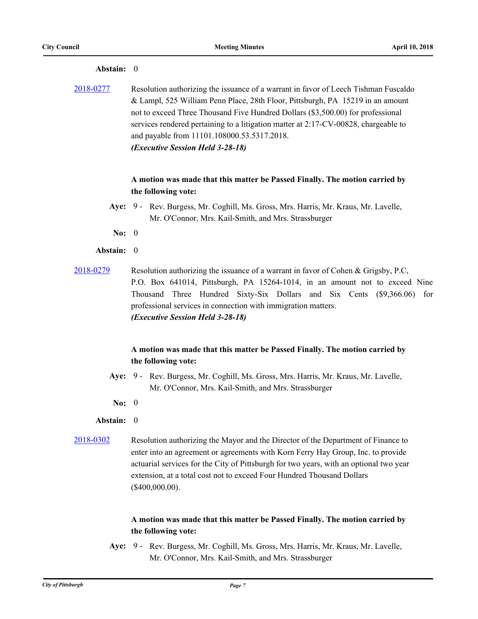| Abstain: 0       |                                                                                                                                                                                                                                                                                                                                                                                                                                     |
|------------------|-------------------------------------------------------------------------------------------------------------------------------------------------------------------------------------------------------------------------------------------------------------------------------------------------------------------------------------------------------------------------------------------------------------------------------------|
| <u>2018-0277</u> | Resolution authorizing the issuance of a warrant in favor of Leech Tishman Fuscaldo<br>& Lampl, 525 William Penn Place, 28th Floor, Pittsburgh, PA 15219 in an amount<br>not to exceed Three Thousand Five Hundred Dollars (\$3,500.00) for professional<br>services rendered pertaining to a litigation matter at 2:17-CV-00828, chargeable to<br>and payable from 11101.108000.53.5317.2018.<br>(Executive Session Held 3-28-18)  |
|                  | A motion was made that this matter be Passed Finally. The motion carried by<br>the following vote:                                                                                                                                                                                                                                                                                                                                  |
|                  | Aye: 9 - Rev. Burgess, Mr. Coghill, Ms. Gross, Mrs. Harris, Mr. Kraus, Mr. Lavelle,<br>Mr. O'Connor, Mrs. Kail-Smith, and Mrs. Strassburger                                                                                                                                                                                                                                                                                         |
| No: $0$          |                                                                                                                                                                                                                                                                                                                                                                                                                                     |
| Abstain: 0       |                                                                                                                                                                                                                                                                                                                                                                                                                                     |
| 2018-0279        | Resolution authorizing the issuance of a warrant in favor of Cohen & Grigsby, P.C,<br>P.O. Box 641014, Pittsburgh, PA 15264-1014, in an amount not to exceed Nine<br>Three Hundred Sixty-Six Dollars and Six Cents (\$9,366.06) for<br>Thousand<br>professional services in connection with immigration matters.<br>(Executive Session Held 3-28-18)<br>A motion was made that this matter be Passed Finally. The motion carried by |
|                  | the following vote:                                                                                                                                                                                                                                                                                                                                                                                                                 |
|                  | Aye: 9 - Rev. Burgess, Mr. Coghill, Ms. Gross, Mrs. Harris, Mr. Kraus, Mr. Lavelle,<br>Mr. O'Connor, Mrs. Kail-Smith, and Mrs. Strassburger                                                                                                                                                                                                                                                                                         |
| No: $0$          |                                                                                                                                                                                                                                                                                                                                                                                                                                     |
| Abstain: 0       |                                                                                                                                                                                                                                                                                                                                                                                                                                     |
| 2018-0302        | Resolution authorizing the Mayor and the Director of the Department of Finance to<br>enter into an agreement or agreements with Korn Ferry Hay Group, Inc. to provide<br>actuarial services for the City of Pittsburgh for two years, with an optional two year<br>extension, at a total cost not to exceed Four Hundred Thousand Dollars<br>$(\$400,000.00).$                                                                      |
|                  | A motion was made that this matter be Passed Finally. The motion carried by<br>the following vote:                                                                                                                                                                                                                                                                                                                                  |
|                  | Ave: 9 - Rey Burgess Mr Coghill Ms Gross Mrs Harris Mr Kraus Mr Lavelle                                                                                                                                                                                                                                                                                                                                                             |

#### **Aye:** Rev. Burgess, Mr. Coghill, Ms. Gross, Mrs. Harris, Mr. Kraus, Mr. Lavelle, Mr. O'Connor, Mrs. Kail-Smith, and Mrs. Strassburger **Aye:** 9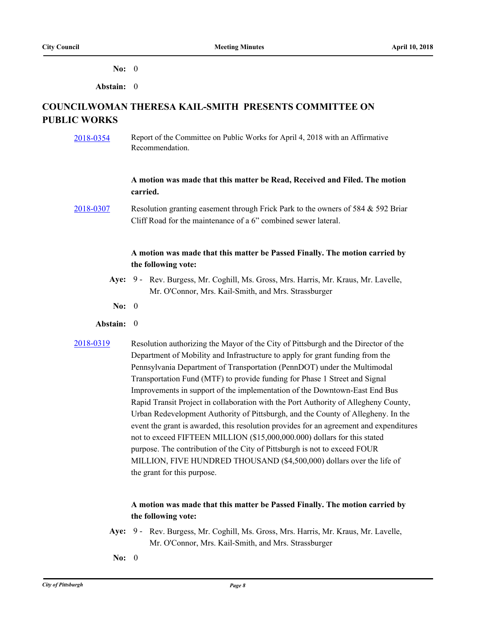**No:** 0

**Abstain:** 0

## **COUNCILWOMAN THERESA KAIL-SMITH PRESENTS COMMITTEE ON PUBLIC WORKS**

[2018-0354](http://pittsburgh.legistar.com/gateway.aspx?m=l&id=/matter.aspx?key=22665) Report of the Committee on Public Works for April 4, 2018 with an Affirmative Recommendation.

#### **A motion was made that this matter be Read, Received and Filed. The motion carried.**

[2018-0307](http://pittsburgh.legistar.com/gateway.aspx?m=l&id=/matter.aspx?key=22618) Resolution granting easement through Frick Park to the owners of 584 & 592 Briar Cliff Road for the maintenance of a 6" combined sewer lateral.

#### **A motion was made that this matter be Passed Finally. The motion carried by the following vote:**

- Aye: 9 Rev. Burgess, Mr. Coghill, Ms. Gross, Mrs. Harris, Mr. Kraus, Mr. Lavelle, Mr. O'Connor, Mrs. Kail-Smith, and Mrs. Strassburger
- **No:** 0
- **Abstain:** 0
- 
- [2018-0319](http://pittsburgh.legistar.com/gateway.aspx?m=l&id=/matter.aspx?key=22630) Resolution authorizing the Mayor of the City of Pittsburgh and the Director of the Department of Mobility and Infrastructure to apply for grant funding from the Pennsylvania Department of Transportation (PennDOT) under the Multimodal Transportation Fund (MTF) to provide funding for Phase 1 Street and Signal Improvements in support of the implementation of the Downtown-East End Bus Rapid Transit Project in collaboration with the Port Authority of Allegheny County, Urban Redevelopment Authority of Pittsburgh, and the County of Allegheny. In the event the grant is awarded, this resolution provides for an agreement and expenditures not to exceed FIFTEEN MILLION (\$15,000,000.000) dollars for this stated purpose. The contribution of the City of Pittsburgh is not to exceed FOUR MILLION, FIVE HUNDRED THOUSAND (\$4,500,000) dollars over the life of the grant for this purpose.

- Aye: 9 Rev. Burgess, Mr. Coghill, Ms. Gross, Mrs. Harris, Mr. Kraus, Mr. Lavelle, Mr. O'Connor, Mrs. Kail-Smith, and Mrs. Strassburger
- **No:** 0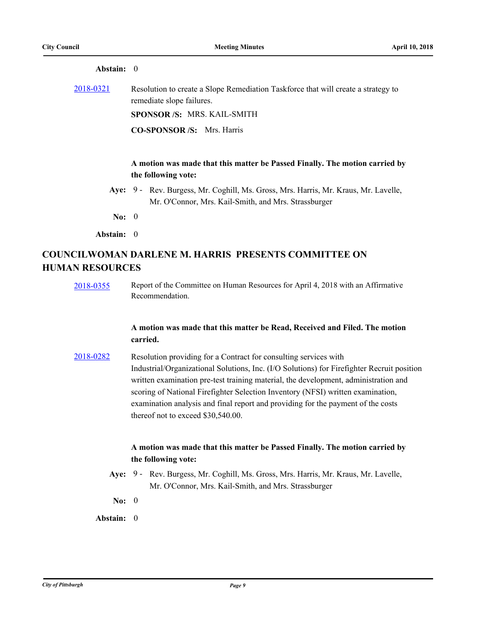| Abstain: 0       |                                                                                                                |
|------------------|----------------------------------------------------------------------------------------------------------------|
| <u>2018-0321</u> | Resolution to create a Slope Remediation Taskforce that will create a strategy to<br>remediate slope failures. |
|                  | <b>SPONSOR/S: MRS. KAIL-SMITH</b>                                                                              |
|                  | <b>CO-SPONSOR/S:</b> Mrs. Harris                                                                               |
|                  |                                                                                                                |
|                  | A motion was made that this matter be Passed Finally. The motion carried by                                    |

- **the following vote:**
- Aye: 9 Rev. Burgess, Mr. Coghill, Ms. Gross, Mrs. Harris, Mr. Kraus, Mr. Lavelle, Mr. O'Connor, Mrs. Kail-Smith, and Mrs. Strassburger
- **No:** 0

**Abstain:** 0

# **COUNCILWOMAN DARLENE M. HARRIS PRESENTS COMMITTEE ON HUMAN RESOURCES**

[2018-0355](http://pittsburgh.legistar.com/gateway.aspx?m=l&id=/matter.aspx?key=22666) Report of the Committee on Human Resources for April 4, 2018 with an Affirmative Recommendation.

#### **A motion was made that this matter be Read, Received and Filed. The motion carried.**

[2018-0282](http://pittsburgh.legistar.com/gateway.aspx?m=l&id=/matter.aspx?key=22592) Resolution providing for a Contract for consulting services with Industrial/Organizational Solutions, Inc. (I/O Solutions) for Firefighter Recruit position written examination pre-test training material, the development, administration and scoring of National Firefighter Selection Inventory (NFSI) written examination, examination analysis and final report and providing for the payment of the costs thereof not to exceed \$30,540.00.

- Aye: 9 Rev. Burgess, Mr. Coghill, Ms. Gross, Mrs. Harris, Mr. Kraus, Mr. Lavelle, Mr. O'Connor, Mrs. Kail-Smith, and Mrs. Strassburger
- **No:** 0
- **Abstain:** 0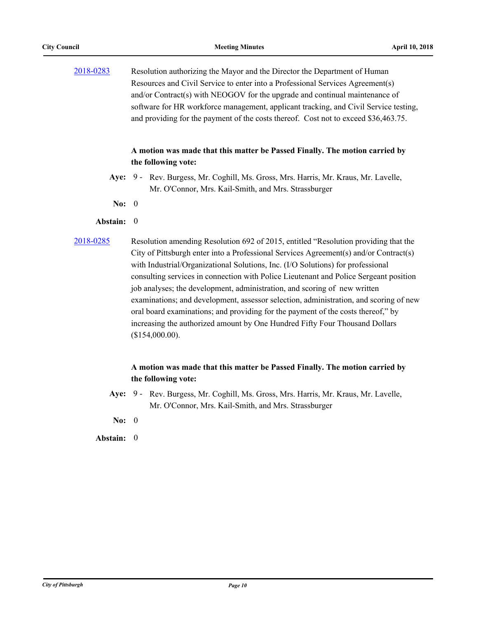[2018-0283](http://pittsburgh.legistar.com/gateway.aspx?m=l&id=/matter.aspx?key=22593) Resolution authorizing the Mayor and the Director the Department of Human Resources and Civil Service to enter into a Professional Services Agreement(s) and/or Contract(s) with NEOGOV for the upgrade and continual maintenance of software for HR workforce management, applicant tracking, and Civil Service testing, and providing for the payment of the costs thereof. Cost not to exceed \$36,463.75.

#### **A motion was made that this matter be Passed Finally. The motion carried by the following vote:**

- Aye: 9 Rev. Burgess, Mr. Coghill, Ms. Gross, Mrs. Harris, Mr. Kraus, Mr. Lavelle, Mr. O'Connor, Mrs. Kail-Smith, and Mrs. Strassburger
- **No:** 0
- **Abstain:** 0
- 

[2018-0285](http://pittsburgh.legistar.com/gateway.aspx?m=l&id=/matter.aspx?key=22595) Resolution amending Resolution 692 of 2015, entitled "Resolution providing that the City of Pittsburgh enter into a Professional Services Agreement(s) and/or Contract(s) with Industrial/Organizational Solutions, Inc. (I/O Solutions) for professional consulting services in connection with Police Lieutenant and Police Sergeant position job analyses; the development, administration, and scoring of new written examinations; and development, assessor selection, administration, and scoring of new oral board examinations; and providing for the payment of the costs thereof," by increasing the authorized amount by One Hundred Fifty Four Thousand Dollars (\$154,000.00).

#### **A motion was made that this matter be Passed Finally. The motion carried by the following vote:**

- **Aye:** Rev. Burgess, Mr. Coghill, Ms. Gross, Mrs. Harris, Mr. Kraus, Mr. Lavelle, Mr. O'Connor, Mrs. Kail-Smith, and Mrs. Strassburger Ave:  $9 -$
- **No:** 0

**Abstain:** 0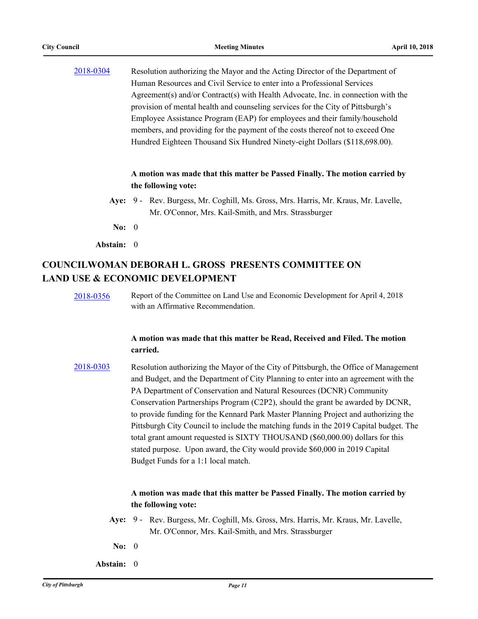[2018-0304](http://pittsburgh.legistar.com/gateway.aspx?m=l&id=/matter.aspx?key=22615) Resolution authorizing the Mayor and the Acting Director of the Department of Human Resources and Civil Service to enter into a Professional Services Agreement(s) and/or Contract(s) with Health Advocate, Inc. in connection with the provision of mental health and counseling services for the City of Pittsburgh's Employee Assistance Program (EAP) for employees and their family/household members, and providing for the payment of the costs thereof not to exceed One Hundred Eighteen Thousand Six Hundred Ninety-eight Dollars (\$118,698.00).

#### **A motion was made that this matter be Passed Finally. The motion carried by the following vote:**

- Aye: 9 Rev. Burgess, Mr. Coghill, Ms. Gross, Mrs. Harris, Mr. Kraus, Mr. Lavelle, Mr. O'Connor, Mrs. Kail-Smith, and Mrs. Strassburger
- **No:** 0

**Abstain:** 0

# **COUNCILWOMAN DEBORAH L. GROSS PRESENTS COMMITTEE ON LAND USE & ECONOMIC DEVELOPMENT**

[2018-0356](http://pittsburgh.legistar.com/gateway.aspx?m=l&id=/matter.aspx?key=22667) Report of the Committee on Land Use and Economic Development for April 4, 2018 with an Affirmative Recommendation.

#### **A motion was made that this matter be Read, Received and Filed. The motion carried.**

[2018-0303](http://pittsburgh.legistar.com/gateway.aspx?m=l&id=/matter.aspx?key=22614) Resolution authorizing the Mayor of the City of Pittsburgh, the Office of Management and Budget, and the Department of City Planning to enter into an agreement with the PA Department of Conservation and Natural Resources (DCNR) Community Conservation Partnerships Program (C2P2), should the grant be awarded by DCNR, to provide funding for the Kennard Park Master Planning Project and authorizing the Pittsburgh City Council to include the matching funds in the 2019 Capital budget. The total grant amount requested is SIXTY THOUSAND (\$60,000.00) dollars for this stated purpose. Upon award, the City would provide \$60,000 in 2019 Capital Budget Funds for a 1:1 local match.

- Aye: 9 Rev. Burgess, Mr. Coghill, Ms. Gross, Mrs. Harris, Mr. Kraus, Mr. Lavelle, Mr. O'Connor, Mrs. Kail-Smith, and Mrs. Strassburger
- **No:** 0
- **Abstain:** 0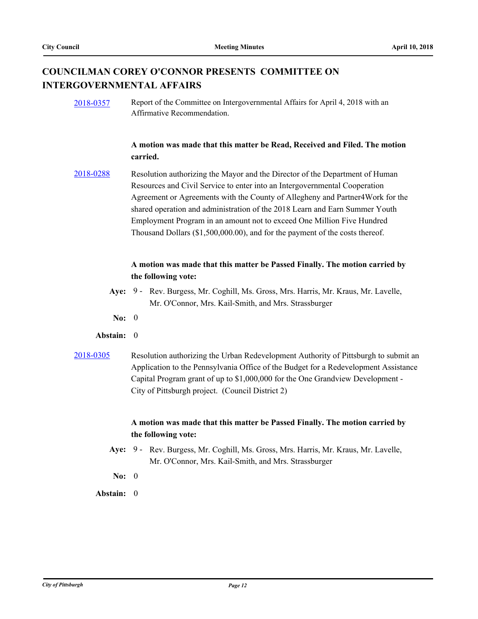## **COUNCILMAN COREY O'CONNOR PRESENTS COMMITTEE ON INTERGOVERNMENTAL AFFAIRS**

[2018-0357](http://pittsburgh.legistar.com/gateway.aspx?m=l&id=/matter.aspx?key=22668) Report of the Committee on Intergovernmental Affairs for April 4, 2018 with an Affirmative Recommendation.

#### **A motion was made that this matter be Read, Received and Filed. The motion carried.**

[2018-0288](http://pittsburgh.legistar.com/gateway.aspx?m=l&id=/matter.aspx?key=22598) Resolution authorizing the Mayor and the Director of the Department of Human Resources and Civil Service to enter into an Intergovernmental Cooperation Agreement or Agreements with the County of Allegheny and Partner4Work for the shared operation and administration of the 2018 Learn and Earn Summer Youth Employment Program in an amount not to exceed One Million Five Hundred Thousand Dollars (\$1,500,000.00), and for the payment of the costs thereof.

#### **A motion was made that this matter be Passed Finally. The motion carried by the following vote:**

- Aye: 9 Rev. Burgess, Mr. Coghill, Ms. Gross, Mrs. Harris, Mr. Kraus, Mr. Lavelle, Mr. O'Connor, Mrs. Kail-Smith, and Mrs. Strassburger
- **No:** 0

#### **Abstain:** 0

[2018-0305](http://pittsburgh.legistar.com/gateway.aspx?m=l&id=/matter.aspx?key=22616) Resolution authorizing the Urban Redevelopment Authority of Pittsburgh to submit an Application to the Pennsylvania Office of the Budget for a Redevelopment Assistance Capital Program grant of up to \$1,000,000 for the One Grandview Development - City of Pittsburgh project. (Council District 2)

- Aye: 9 Rev. Burgess, Mr. Coghill, Ms. Gross, Mrs. Harris, Mr. Kraus, Mr. Lavelle, Mr. O'Connor, Mrs. Kail-Smith, and Mrs. Strassburger
- **No:** 0
- **Abstain:** 0